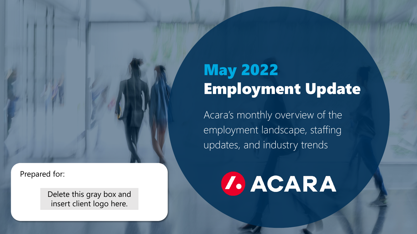Prepared for:

Delete this gray box and insert client logo here.

### May 2022 Employment Update

Employment Update **May 2022**

Acara's monthly overview of the employment landscape, staffing updates, and industry trends

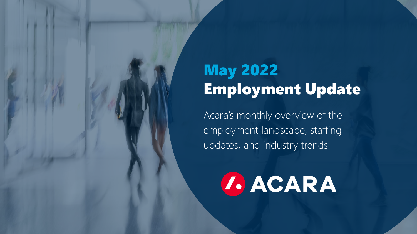### May 2022 Employment Update

Employment Update **May 2022**

Acara's monthly overview of the employment landscape, staffing updates, and industry trends

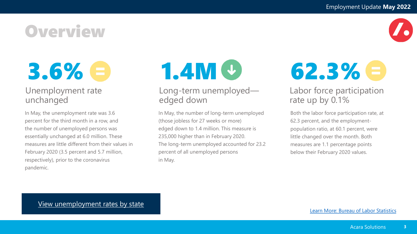**Overview** 

3.6% e

#### Unemployment rate unchanged

In May, the unemployment rate was 3.6 percent for the third month in a row, and the number of unemployed persons was essentially unchanged at 6.0 million. These measures are little different from their values in February 2020 (3.5 percent and 5.7 million, respectively), prior to the coronavirus pandemic.

#### Long-term unemployed edged down

In May, the number of long-term unemployed (those jobless for 27 weeks or more) edged down to 1.4 million. This measure is 235,000 higher than in February 2020. The long-term unemployed accounted for 23.2 percent of all unemployed persons in May.

 $1.4M **4**$  62.3%  $\Theta$ 

#### Labor force participation rate up by 0.1%

Both the labor force participation rate, at 62.3 percent, and the employmentpopulation ratio, at 60.1 percent, were little changed over the month. Both measures are 1.1 percentage points below their February 2020 values.

[View unemployment rates by state](https://www.bls.gov/lau/)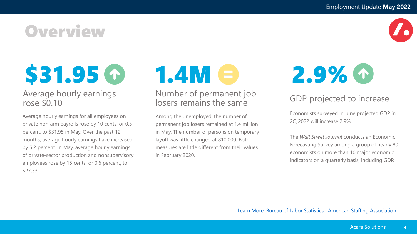### **Overview**



# \$31.95 C

#### Average hourly earnings rose \$0.10

Average hourly earnings for all employees on private nonfarm payrolls rose by 10 cents, or 0.3 percent, to \$31.95 in May. Over the past 12 months, average hourly earnings have increased by 5.2 percent. In May, average hourly earnings of private-sector production and nonsupervisory employees rose by 15 cents, or 0.6 percent, to \$27.33.

# $1.4M <sup>2</sup>$  2.9%  $\circ$

#### Number of permanent job losers remains the same

Among the unemployed, the number of permanent job losers remained at 1.4 million in May. The number of persons on temporary layoff was little changed at 810,000. Both measures are little different from their values in February 2020.

#### GDP projected to increase

Economists surveyed in June projected GDP in 2Q 2022 will increase 2.9%.

The *Wall Street Journal* conducts an Economic Forecasting Survey among a group of nearly 80 economists on more than 10 major economic indicators on a quarterly basis, including GDP.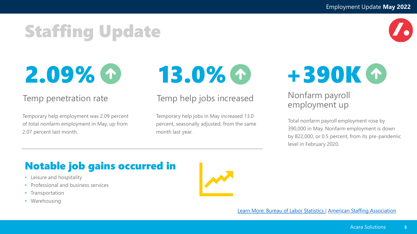## Staffing Update

2.09%

#### Temp penetration rate

Temporary help employment was 2.09 percent of total nonfarm employment in May, up from 2.07 percent last month.



#### Temp help jobs increased

Temporary help jobs in May increased 13.0 percent, seasonally adjusted, from the same month last year.



#### Nonfarm payroll employment up

Total nonfarm payroll employment rose by 390,000 in May. Nonfarm employment is down by 822,000, or 0.5 percent, from its pre-pandemic level in February 2020.

### Notable job gains occurred in

- Leisure and hospitality
- Professional and business services
- Transportation
- Warehousing



[Learn More: Bureau of Labor Statistics](https://www.bls.gov/news.release/empsit.htm) | [American Staffing Association](https://americanstaffing.net/research/asa-data-dashboard/)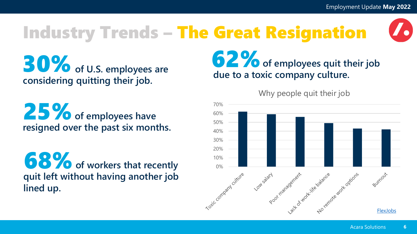## Industry Trends – The Great Resignation

**30%** of U.S. employees are **considering quitting their job.**

25% of employees have **resigned over the past six months.** 

**68%** of workers that recently **quit left without having another job lined up.** 

**62%** of employees quit their job **due to a toxic company culture.** 

Why people quit their job

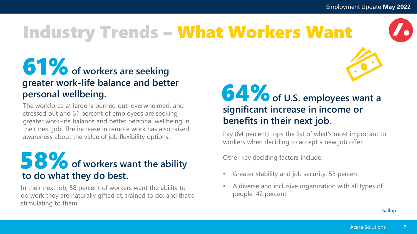

## Industry Trends – What Workers Want

### **61%** of workers are seeking **greater work-life balance and better personal wellbeing.**

The workforce at large is burned out, overwhelmed, and stressed out and 61 percent of employees are seeking greater work-life balance and better personal wellbeing in their next job. The increase in remote work has also raised awareness about the value of job flexibility options.

### **58%** of workers want the ability **to do what they do best.**

In their next job, 58 percent of workers want the ability to do work they are naturally gifted at, trained to do, and that's stimulating to them.

### **64%** of U.S. employees want a **significant increase in income or benefits in their next job.**

Pay (64 percent) tops the list of what's most important to workers when deciding to accept a new job offer.

Other key deciding factors include:

- Greater stability and job security: 53 percent
- A diverse and inclusive organization with all types of people: 42 percent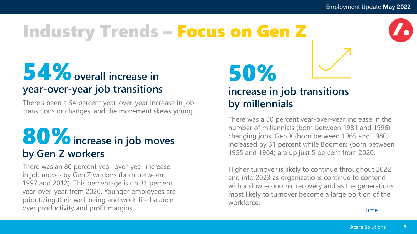### Industry Trends – Focus on Gen Z

### 54% overall increase in **year-over-year job transitions**

There's been a 54 percent year-over-year increase in job transitions or changes, and the movement skews young.

### 80%**increase in job moves by Gen Z workers**

There was an 80 percent year-over-year increase in job moves by Gen Z workers (born between 1997 and 2012). This percentage is up 31 percent year-over-year from 2020. Younger employees are prioritizing their well-being and work-life balance over productivity and profit margins.

50% **increase in job transitions by millennials** 

There was a 50 percent year-over-year increase in the number of millennials (born between 1981 and 1996) changing jobs. Gen X (born between 1965 and 1980) increased by 31 percent while Boomers (born between 1955 and 1964) are up just 5 percent from 2020.

Higher turnover is likely to continue throughout 2022 and into 2023 as organizations continue to contend with a slow economic recovery and as the generations most likely to turnover become a large portion of the workforce.